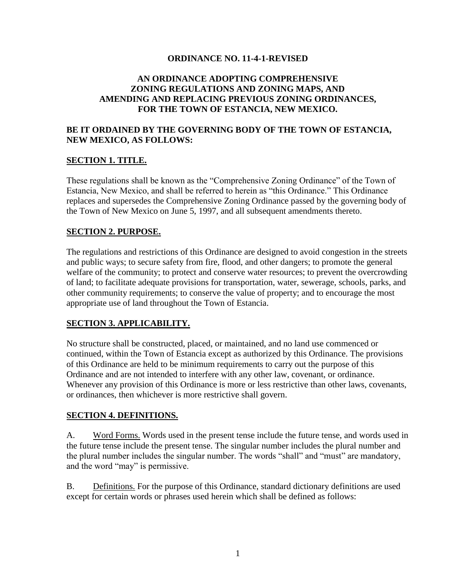#### **ORDINANCE NO. 11-4-1-REVISED**

### **AN ORDINANCE ADOPTING COMPREHENSIVE ZONING REGULATIONS AND ZONING MAPS, AND AMENDING AND REPLACING PREVIOUS ZONING ORDINANCES, FOR THE TOWN OF ESTANCIA, NEW MEXICO.**

### **BE IT ORDAINED BY THE GOVERNING BODY OF THE TOWN OF ESTANCIA, NEW MEXICO, AS FOLLOWS:**

#### **SECTION 1. TITLE.**

These regulations shall be known as the "Comprehensive Zoning Ordinance" of the Town of Estancia, New Mexico, and shall be referred to herein as "this Ordinance." This Ordinance replaces and supersedes the Comprehensive Zoning Ordinance passed by the governing body of the Town of New Mexico on June 5, 1997, and all subsequent amendments thereto.

#### **SECTION 2. PURPOSE.**

The regulations and restrictions of this Ordinance are designed to avoid congestion in the streets and public ways; to secure safety from fire, flood, and other dangers; to promote the general welfare of the community; to protect and conserve water resources; to prevent the overcrowding of land; to facilitate adequate provisions for transportation, water, sewerage, schools, parks, and other community requirements; to conserve the value of property; and to encourage the most appropriate use of land throughout the Town of Estancia.

### **SECTION 3. APPLICABILITY.**

No structure shall be constructed, placed, or maintained, and no land use commenced or continued, within the Town of Estancia except as authorized by this Ordinance. The provisions of this Ordinance are held to be minimum requirements to carry out the purpose of this Ordinance and are not intended to interfere with any other law, covenant, or ordinance. Whenever any provision of this Ordinance is more or less restrictive than other laws, covenants, or ordinances, then whichever is more restrictive shall govern.

#### **SECTION 4. DEFINITIONS.**

A. Word Forms. Words used in the present tense include the future tense, and words used in the future tense include the present tense. The singular number includes the plural number and the plural number includes the singular number. The words "shall" and "must" are mandatory, and the word "may" is permissive.

B. Definitions. For the purpose of this Ordinance, standard dictionary definitions are used except for certain words or phrases used herein which shall be defined as follows: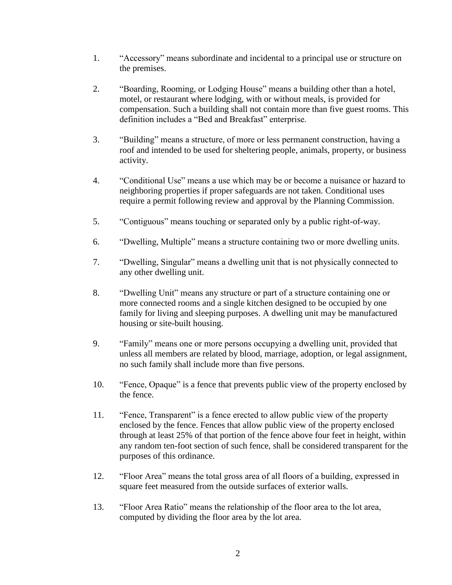- 1. "Accessory" means subordinate and incidental to a principal use or structure on the premises.
- 2. "Boarding, Rooming, or Lodging House" means a building other than a hotel, motel, or restaurant where lodging, with or without meals, is provided for compensation. Such a building shall not contain more than five guest rooms. This definition includes a "Bed and Breakfast" enterprise.
- 3. "Building" means a structure, of more or less permanent construction, having a roof and intended to be used for sheltering people, animals, property, or business activity.
- 4. "Conditional Use" means a use which may be or become a nuisance or hazard to neighboring properties if proper safeguards are not taken. Conditional uses require a permit following review and approval by the Planning Commission.
- 5. "Contiguous" means touching or separated only by a public right-of-way.
- 6. "Dwelling, Multiple" means a structure containing two or more dwelling units.
- 7. "Dwelling, Singular" means a dwelling unit that is not physically connected to any other dwelling unit.
- 8. "Dwelling Unit" means any structure or part of a structure containing one or more connected rooms and a single kitchen designed to be occupied by one family for living and sleeping purposes. A dwelling unit may be manufactured housing or site-built housing.
- 9. "Family" means one or more persons occupying a dwelling unit, provided that unless all members are related by blood, marriage, adoption, or legal assignment, no such family shall include more than five persons.
- 10. "Fence, Opaque" is a fence that prevents public view of the property enclosed by the fence.
- 11. "Fence, Transparent" is a fence erected to allow public view of the property enclosed by the fence. Fences that allow public view of the property enclosed through at least 25% of that portion of the fence above four feet in height, within any random ten-foot section of such fence, shall be considered transparent for the purposes of this ordinance.
- 12. "Floor Area" means the total gross area of all floors of a building, expressed in square feet measured from the outside surfaces of exterior walls.
- 13. "Floor Area Ratio" means the relationship of the floor area to the lot area, computed by dividing the floor area by the lot area.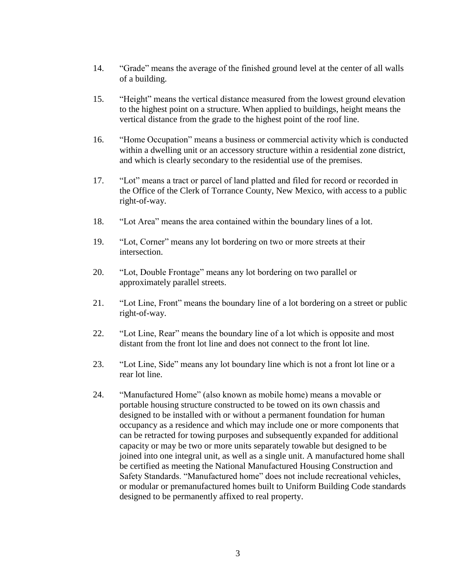- 14. "Grade" means the average of the finished ground level at the center of all walls of a building.
- 15. "Height" means the vertical distance measured from the lowest ground elevation to the highest point on a structure. When applied to buildings, height means the vertical distance from the grade to the highest point of the roof line.
- 16. "Home Occupation" means a business or commercial activity which is conducted within a dwelling unit or an accessory structure within a residential zone district, and which is clearly secondary to the residential use of the premises.
- 17. "Lot" means a tract or parcel of land platted and filed for record or recorded in the Office of the Clerk of Torrance County, New Mexico, with access to a public right-of-way.
- 18. "Lot Area" means the area contained within the boundary lines of a lot.
- 19. "Lot, Corner" means any lot bordering on two or more streets at their intersection.
- 20. "Lot, Double Frontage" means any lot bordering on two parallel or approximately parallel streets.
- 21. "Lot Line, Front" means the boundary line of a lot bordering on a street or public right-of-way.
- 22. "Lot Line, Rear" means the boundary line of a lot which is opposite and most distant from the front lot line and does not connect to the front lot line.
- 23. "Lot Line, Side" means any lot boundary line which is not a front lot line or a rear lot line.
- 24. "Manufactured Home" (also known as mobile home) means a movable or portable housing structure constructed to be towed on its own chassis and designed to be installed with or without a permanent foundation for human occupancy as a residence and which may include one or more components that can be retracted for towing purposes and subsequently expanded for additional capacity or may be two or more units separately towable but designed to be joined into one integral unit, as well as a single unit. A manufactured home shall be certified as meeting the National Manufactured Housing Construction and Safety Standards. "Manufactured home" does not include recreational vehicles, or modular or premanufactured homes built to Uniform Building Code standards designed to be permanently affixed to real property.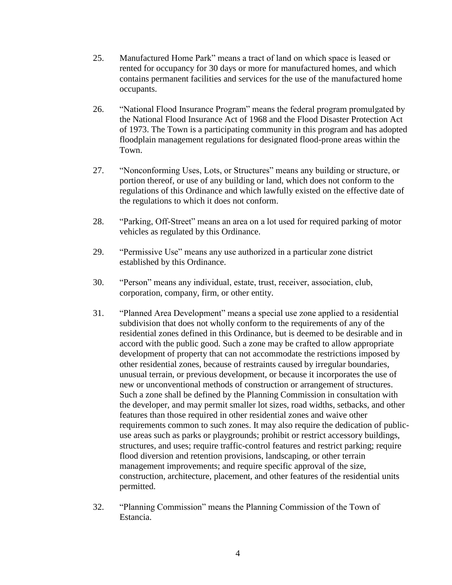- 25. Manufactured Home Park" means a tract of land on which space is leased or rented for occupancy for 30 days or more for manufactured homes, and which contains permanent facilities and services for the use of the manufactured home occupants.
- 26. "National Flood Insurance Program" means the federal program promulgated by the National Flood Insurance Act of 1968 and the Flood Disaster Protection Act of 1973. The Town is a participating community in this program and has adopted floodplain management regulations for designated flood-prone areas within the Town.
- 27. "Nonconforming Uses, Lots, or Structures" means any building or structure, or portion thereof, or use of any building or land, which does not conform to the regulations of this Ordinance and which lawfully existed on the effective date of the regulations to which it does not conform.
- 28. "Parking, Off-Street" means an area on a lot used for required parking of motor vehicles as regulated by this Ordinance.
- 29. "Permissive Use" means any use authorized in a particular zone district established by this Ordinance.
- 30. "Person" means any individual, estate, trust, receiver, association, club, corporation, company, firm, or other entity.
- 31. "Planned Area Development" means a special use zone applied to a residential subdivision that does not wholly conform to the requirements of any of the residential zones defined in this Ordinance, but is deemed to be desirable and in accord with the public good. Such a zone may be crafted to allow appropriate development of property that can not accommodate the restrictions imposed by other residential zones, because of restraints caused by irregular boundaries, unusual terrain, or previous development, or because it incorporates the use of new or unconventional methods of construction or arrangement of structures. Such a zone shall be defined by the Planning Commission in consultation with the developer, and may permit smaller lot sizes, road widths, setbacks, and other features than those required in other residential zones and waive other requirements common to such zones. It may also require the dedication of publicuse areas such as parks or playgrounds; prohibit or restrict accessory buildings, structures, and uses; require traffic-control features and restrict parking; require flood diversion and retention provisions, landscaping, or other terrain management improvements; and require specific approval of the size, construction, architecture, placement, and other features of the residential units permitted.
- 32. "Planning Commission" means the Planning Commission of the Town of Estancia.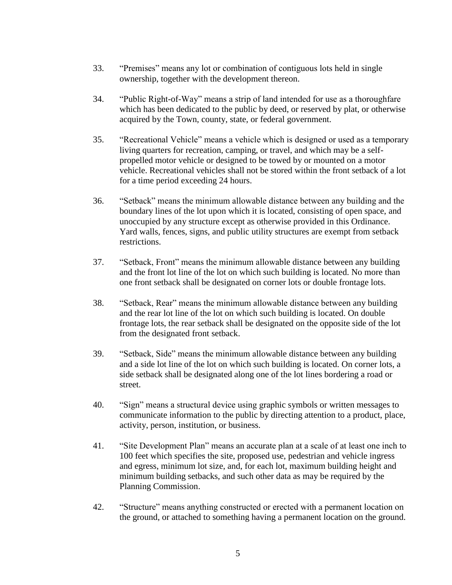- 33. "Premises" means any lot or combination of contiguous lots held in single ownership, together with the development thereon.
- 34. "Public Right-of-Way" means a strip of land intended for use as a thoroughfare which has been dedicated to the public by deed, or reserved by plat, or otherwise acquired by the Town, county, state, or federal government.
- 35. "Recreational Vehicle" means a vehicle which is designed or used as a temporary living quarters for recreation, camping, or travel, and which may be a selfpropelled motor vehicle or designed to be towed by or mounted on a motor vehicle. Recreational vehicles shall not be stored within the front setback of a lot for a time period exceeding 24 hours.
- 36. "Setback" means the minimum allowable distance between any building and the boundary lines of the lot upon which it is located, consisting of open space, and unoccupied by any structure except as otherwise provided in this Ordinance. Yard walls, fences, signs, and public utility structures are exempt from setback restrictions.
- 37. "Setback, Front" means the minimum allowable distance between any building and the front lot line of the lot on which such building is located. No more than one front setback shall be designated on corner lots or double frontage lots.
- 38. "Setback, Rear" means the minimum allowable distance between any building and the rear lot line of the lot on which such building is located. On double frontage lots, the rear setback shall be designated on the opposite side of the lot from the designated front setback.
- 39. "Setback, Side" means the minimum allowable distance between any building and a side lot line of the lot on which such building is located. On corner lots, a side setback shall be designated along one of the lot lines bordering a road or street.
- 40. "Sign" means a structural device using graphic symbols or written messages to communicate information to the public by directing attention to a product, place, activity, person, institution, or business.
- 41. "Site Development Plan" means an accurate plan at a scale of at least one inch to 100 feet which specifies the site, proposed use, pedestrian and vehicle ingress and egress, minimum lot size, and, for each lot, maximum building height and minimum building setbacks, and such other data as may be required by the Planning Commission.
- 42. "Structure" means anything constructed or erected with a permanent location on the ground, or attached to something having a permanent location on the ground.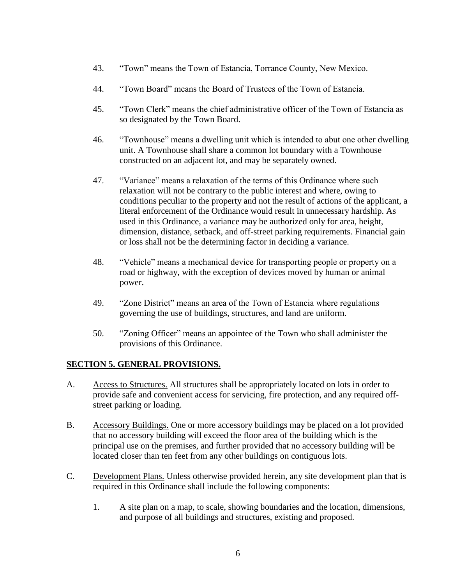- 43. "Town" means the Town of Estancia, Torrance County, New Mexico.
- 44. "Town Board" means the Board of Trustees of the Town of Estancia.
- 45. "Town Clerk" means the chief administrative officer of the Town of Estancia as so designated by the Town Board.
- 46. "Townhouse" means a dwelling unit which is intended to abut one other dwelling unit. A Townhouse shall share a common lot boundary with a Townhouse constructed on an adjacent lot, and may be separately owned.
- 47. "Variance" means a relaxation of the terms of this Ordinance where such relaxation will not be contrary to the public interest and where, owing to conditions peculiar to the property and not the result of actions of the applicant, a literal enforcement of the Ordinance would result in unnecessary hardship. As used in this Ordinance, a variance may be authorized only for area, height, dimension, distance, setback, and off-street parking requirements. Financial gain or loss shall not be the determining factor in deciding a variance.
- 48. "Vehicle" means a mechanical device for transporting people or property on a road or highway, with the exception of devices moved by human or animal power.
- 49. "Zone District" means an area of the Town of Estancia where regulations governing the use of buildings, structures, and land are uniform.
- 50. "Zoning Officer" means an appointee of the Town who shall administer the provisions of this Ordinance.

### **SECTION 5. GENERAL PROVISIONS.**

- A. Access to Structures. All structures shall be appropriately located on lots in order to provide safe and convenient access for servicing, fire protection, and any required offstreet parking or loading.
- B. Accessory Buildings. One or more accessory buildings may be placed on a lot provided that no accessory building will exceed the floor area of the building which is the principal use on the premises, and further provided that no accessory building will be located closer than ten feet from any other buildings on contiguous lots.
- C. Development Plans. Unless otherwise provided herein, any site development plan that is required in this Ordinance shall include the following components:
	- 1. A site plan on a map, to scale, showing boundaries and the location, dimensions, and purpose of all buildings and structures, existing and proposed.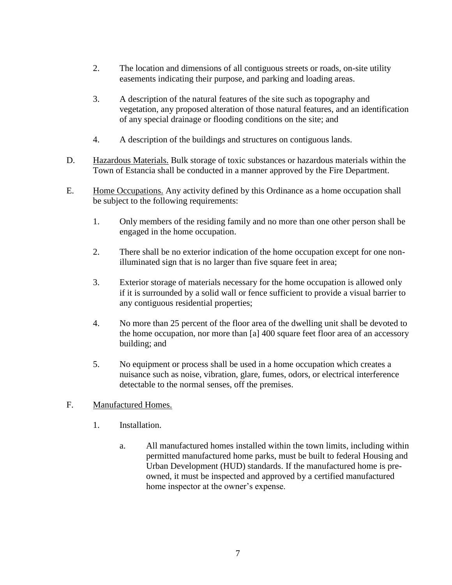- 2. The location and dimensions of all contiguous streets or roads, on-site utility easements indicating their purpose, and parking and loading areas.
- 3. A description of the natural features of the site such as topography and vegetation, any proposed alteration of those natural features, and an identification of any special drainage or flooding conditions on the site; and
- 4. A description of the buildings and structures on contiguous lands.
- D. Hazardous Materials. Bulk storage of toxic substances or hazardous materials within the Town of Estancia shall be conducted in a manner approved by the Fire Department.
- E. Home Occupations. Any activity defined by this Ordinance as a home occupation shall be subject to the following requirements:
	- 1. Only members of the residing family and no more than one other person shall be engaged in the home occupation.
	- 2. There shall be no exterior indication of the home occupation except for one nonilluminated sign that is no larger than five square feet in area;
	- 3. Exterior storage of materials necessary for the home occupation is allowed only if it is surrounded by a solid wall or fence sufficient to provide a visual barrier to any contiguous residential properties;
	- 4. No more than 25 percent of the floor area of the dwelling unit shall be devoted to the home occupation, nor more than [a] 400 square feet floor area of an accessory building; and
	- 5. No equipment or process shall be used in a home occupation which creates a nuisance such as noise, vibration, glare, fumes, odors, or electrical interference detectable to the normal senses, off the premises.
- F. Manufactured Homes.
	- 1. Installation.
		- a. All manufactured homes installed within the town limits, including within permitted manufactured home parks, must be built to federal Housing and Urban Development (HUD) standards. If the manufactured home is preowned, it must be inspected and approved by a certified manufactured home inspector at the owner's expense.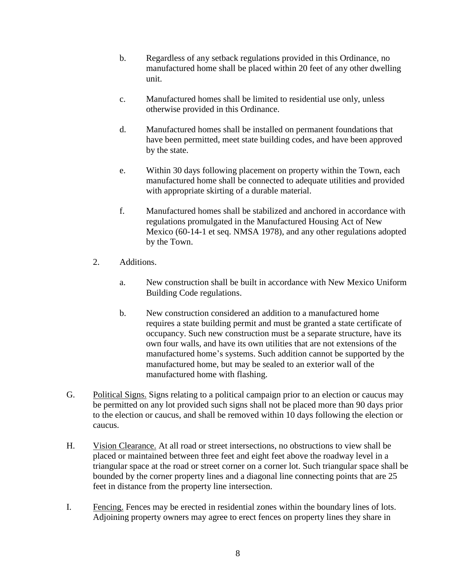- b. Regardless of any setback regulations provided in this Ordinance, no manufactured home shall be placed within 20 feet of any other dwelling unit.
- c. Manufactured homes shall be limited to residential use only, unless otherwise provided in this Ordinance.
- d. Manufactured homes shall be installed on permanent foundations that have been permitted, meet state building codes, and have been approved by the state.
- e. Within 30 days following placement on property within the Town, each manufactured home shall be connected to adequate utilities and provided with appropriate skirting of a durable material.
- f. Manufactured homes shall be stabilized and anchored in accordance with regulations promulgated in the Manufactured Housing Act of New Mexico (60-14-1 et seq. NMSA 1978), and any other regulations adopted by the Town.
- 2. Additions.
	- a. New construction shall be built in accordance with New Mexico Uniform Building Code regulations.
	- b. New construction considered an addition to a manufactured home requires a state building permit and must be granted a state certificate of occupancy. Such new construction must be a separate structure, have its own four walls, and have its own utilities that are not extensions of the manufactured home's systems. Such addition cannot be supported by the manufactured home, but may be sealed to an exterior wall of the manufactured home with flashing.
- G. Political Signs. Signs relating to a political campaign prior to an election or caucus may be permitted on any lot provided such signs shall not be placed more than 90 days prior to the election or caucus, and shall be removed within 10 days following the election or caucus.
- H. Vision Clearance. At all road or street intersections, no obstructions to view shall be placed or maintained between three feet and eight feet above the roadway level in a triangular space at the road or street corner on a corner lot. Such triangular space shall be bounded by the corner property lines and a diagonal line connecting points that are 25 feet in distance from the property line intersection.
- I. Fencing. Fences may be erected in residential zones within the boundary lines of lots. Adjoining property owners may agree to erect fences on property lines they share in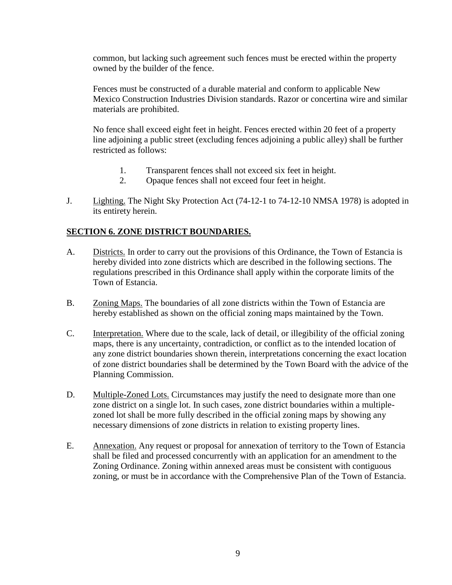common, but lacking such agreement such fences must be erected within the property owned by the builder of the fence.

Fences must be constructed of a durable material and conform to applicable New Mexico Construction Industries Division standards. Razor or concertina wire and similar materials are prohibited.

No fence shall exceed eight feet in height. Fences erected within 20 feet of a property line adjoining a public street (excluding fences adjoining a public alley) shall be further restricted as follows:

- 1. Transparent fences shall not exceed six feet in height.
- 2. Opaque fences shall not exceed four feet in height.
- J. Lighting. The Night Sky Protection Act (74-12-1 to 74-12-10 NMSA 1978) is adopted in its entirety herein.

#### **SECTION 6. ZONE DISTRICT BOUNDARIES.**

- A. Districts. In order to carry out the provisions of this Ordinance, the Town of Estancia is hereby divided into zone districts which are described in the following sections. The regulations prescribed in this Ordinance shall apply within the corporate limits of the Town of Estancia.
- B. Zoning Maps. The boundaries of all zone districts within the Town of Estancia are hereby established as shown on the official zoning maps maintained by the Town.
- C. Interpretation. Where due to the scale, lack of detail, or illegibility of the official zoning maps, there is any uncertainty, contradiction, or conflict as to the intended location of any zone district boundaries shown therein, interpretations concerning the exact location of zone district boundaries shall be determined by the Town Board with the advice of the Planning Commission.
- D. Multiple-Zoned Lots. Circumstances may justify the need to designate more than one zone district on a single lot. In such cases, zone district boundaries within a multiplezoned lot shall be more fully described in the official zoning maps by showing any necessary dimensions of zone districts in relation to existing property lines.
- E. Annexation. Any request or proposal for annexation of territory to the Town of Estancia shall be filed and processed concurrently with an application for an amendment to the Zoning Ordinance. Zoning within annexed areas must be consistent with contiguous zoning, or must be in accordance with the Comprehensive Plan of the Town of Estancia.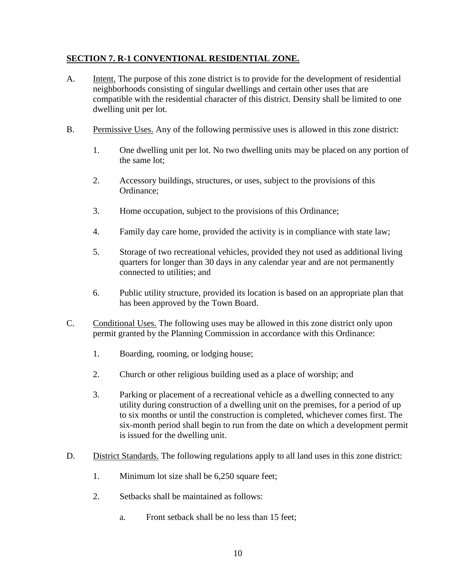## **SECTION 7. R-1 CONVENTIONAL RESIDENTIAL ZONE.**

- A. Intent. The purpose of this zone district is to provide for the development of residential neighborhoods consisting of singular dwellings and certain other uses that are compatible with the residential character of this district. Density shall be limited to one dwelling unit per lot.
- B. Permissive Uses. Any of the following permissive uses is allowed in this zone district:
	- 1. One dwelling unit per lot. No two dwelling units may be placed on any portion of the same lot;
	- 2. Accessory buildings, structures, or uses, subject to the provisions of this Ordinance;
	- 3. Home occupation, subject to the provisions of this Ordinance;
	- 4. Family day care home, provided the activity is in compliance with state law;
	- 5. Storage of two recreational vehicles, provided they not used as additional living quarters for longer than 30 days in any calendar year and are not permanently connected to utilities; and
	- 6. Public utility structure, provided its location is based on an appropriate plan that has been approved by the Town Board.
- C. Conditional Uses. The following uses may be allowed in this zone district only upon permit granted by the Planning Commission in accordance with this Ordinance:
	- 1. Boarding, rooming, or lodging house;
	- 2. Church or other religious building used as a place of worship; and
	- 3. Parking or placement of a recreational vehicle as a dwelling connected to any utility during construction of a dwelling unit on the premises, for a period of up to six months or until the construction is completed, whichever comes first. The six-month period shall begin to run from the date on which a development permit is issued for the dwelling unit.
- D. District Standards. The following regulations apply to all land uses in this zone district:
	- 1. Minimum lot size shall be 6,250 square feet;
	- 2. Setbacks shall be maintained as follows:
		- a. Front setback shall be no less than 15 feet;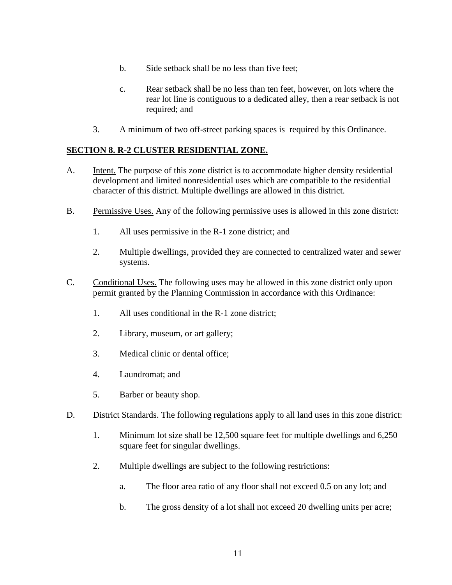- b. Side setback shall be no less than five feet;
- c. Rear setback shall be no less than ten feet, however, on lots where the rear lot line is contiguous to a dedicated alley, then a rear setback is not required; and
- 3. A minimum of two off-street parking spaces is required by this Ordinance.

### **SECTION 8. R-2 CLUSTER RESIDENTIAL ZONE.**

- A. Intent. The purpose of this zone district is to accommodate higher density residential development and limited nonresidential uses which are compatible to the residential character of this district. Multiple dwellings are allowed in this district.
- B. Permissive Uses. Any of the following permissive uses is allowed in this zone district:
	- 1. All uses permissive in the R-1 zone district; and
	- 2. Multiple dwellings, provided they are connected to centralized water and sewer systems.
- C. Conditional Uses. The following uses may be allowed in this zone district only upon permit granted by the Planning Commission in accordance with this Ordinance:
	- 1. All uses conditional in the R-1 zone district;
	- 2. Library, museum, or art gallery;
	- 3. Medical clinic or dental office;
	- 4. Laundromat; and
	- 5. Barber or beauty shop.
- D. District Standards. The following regulations apply to all land uses in this zone district:
	- 1. Minimum lot size shall be 12,500 square feet for multiple dwellings and 6,250 square feet for singular dwellings.
	- 2. Multiple dwellings are subject to the following restrictions:
		- a. The floor area ratio of any floor shall not exceed 0.5 on any lot; and
		- b. The gross density of a lot shall not exceed 20 dwelling units per acre;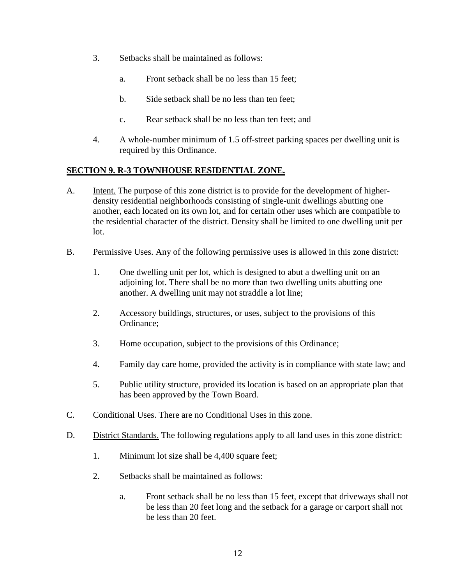- 3. Setbacks shall be maintained as follows:
	- a. Front setback shall be no less than 15 feet;
	- b. Side setback shall be no less than ten feet;
	- c. Rear setback shall be no less than ten feet; and
- 4. A whole-number minimum of 1.5 off-street parking spaces per dwelling unit is required by this Ordinance.

## **SECTION 9. R-3 TOWNHOUSE RESIDENTIAL ZONE.**

- A. Intent. The purpose of this zone district is to provide for the development of higherdensity residential neighborhoods consisting of single-unit dwellings abutting one another, each located on its own lot, and for certain other uses which are compatible to the residential character of the district. Density shall be limited to one dwelling unit per lot.
- B. Permissive Uses. Any of the following permissive uses is allowed in this zone district:
	- 1. One dwelling unit per lot, which is designed to abut a dwelling unit on an adjoining lot. There shall be no more than two dwelling units abutting one another. A dwelling unit may not straddle a lot line;
	- 2. Accessory buildings, structures, or uses, subject to the provisions of this Ordinance;
	- 3. Home occupation, subject to the provisions of this Ordinance;
	- 4. Family day care home, provided the activity is in compliance with state law; and
	- 5. Public utility structure, provided its location is based on an appropriate plan that has been approved by the Town Board.
- C. Conditional Uses. There are no Conditional Uses in this zone.
- D. District Standards. The following regulations apply to all land uses in this zone district:
	- 1. Minimum lot size shall be 4,400 square feet;
	- 2. Setbacks shall be maintained as follows:
		- a. Front setback shall be no less than 15 feet, except that driveways shall not be less than 20 feet long and the setback for a garage or carport shall not be less than 20 feet.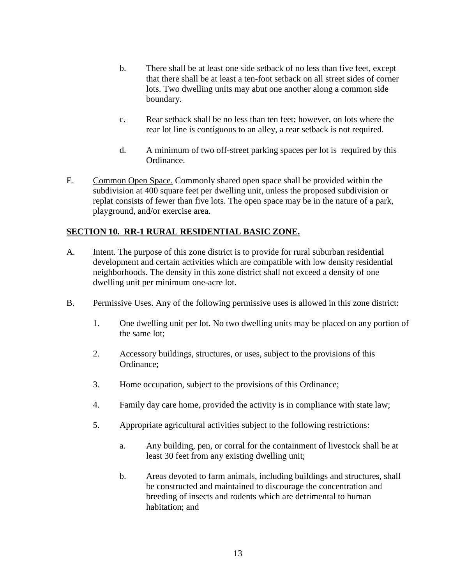- b. There shall be at least one side setback of no less than five feet, except that there shall be at least a ten-foot setback on all street sides of corner lots. Two dwelling units may abut one another along a common side boundary.
- c. Rear setback shall be no less than ten feet; however, on lots where the rear lot line is contiguous to an alley, a rear setback is not required.
- d. A minimum of two off-street parking spaces per lot is required by this Ordinance.
- E. Common Open Space. Commonly shared open space shall be provided within the subdivision at 400 square feet per dwelling unit, unless the proposed subdivision or replat consists of fewer than five lots. The open space may be in the nature of a park, playground, and/or exercise area.

### **SECTION 10. RR-1 RURAL RESIDENTIAL BASIC ZONE.**

- A. Intent. The purpose of this zone district is to provide for rural suburban residential development and certain activities which are compatible with low density residential neighborhoods. The density in this zone district shall not exceed a density of one dwelling unit per minimum one-acre lot.
- B. Permissive Uses. Any of the following permissive uses is allowed in this zone district:
	- 1. One dwelling unit per lot. No two dwelling units may be placed on any portion of the same lot;
	- 2. Accessory buildings, structures, or uses, subject to the provisions of this Ordinance;
	- 3. Home occupation, subject to the provisions of this Ordinance;
	- 4. Family day care home, provided the activity is in compliance with state law;
	- 5. Appropriate agricultural activities subject to the following restrictions:
		- a. Any building, pen, or corral for the containment of livestock shall be at least 30 feet from any existing dwelling unit;
		- b. Areas devoted to farm animals, including buildings and structures, shall be constructed and maintained to discourage the concentration and breeding of insects and rodents which are detrimental to human habitation; and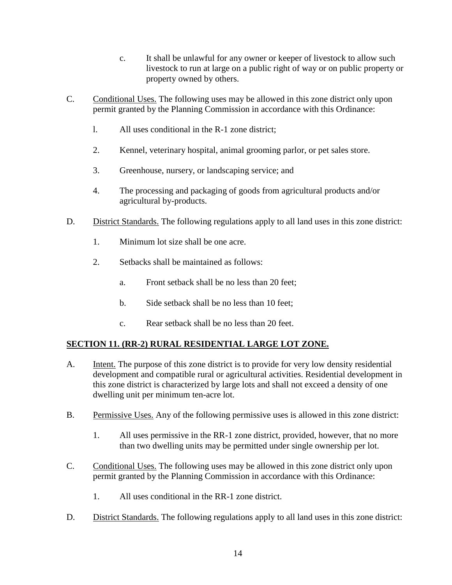- c. It shall be unlawful for any owner or keeper of livestock to allow such livestock to run at large on a public right of way or on public property or property owned by others.
- C. Conditional Uses. The following uses may be allowed in this zone district only upon permit granted by the Planning Commission in accordance with this Ordinance:
	- l. All uses conditional in the R-1 zone district;
	- 2. Kennel, veterinary hospital, animal grooming parlor, or pet sales store.
	- 3. Greenhouse, nursery, or landscaping service; and
	- 4. The processing and packaging of goods from agricultural products and/or agricultural by-products.
- D. District Standards. The following regulations apply to all land uses in this zone district:
	- 1. Minimum lot size shall be one acre.
	- 2. Setbacks shall be maintained as follows:
		- a. Front setback shall be no less than 20 feet;
		- b. Side setback shall be no less than 10 feet;
		- c. Rear setback shall be no less than 20 feet.

# **SECTION 11. (RR-2) RURAL RESIDENTIAL LARGE LOT ZONE.**

- A. Intent. The purpose of this zone district is to provide for very low density residential development and compatible rural or agricultural activities. Residential development in this zone district is characterized by large lots and shall not exceed a density of one dwelling unit per minimum ten-acre lot.
- B. Permissive Uses. Any of the following permissive uses is allowed in this zone district:
	- 1. All uses permissive in the RR-1 zone district, provided, however, that no more than two dwelling units may be permitted under single ownership per lot.
- C. Conditional Uses. The following uses may be allowed in this zone district only upon permit granted by the Planning Commission in accordance with this Ordinance:
	- 1. All uses conditional in the RR-1 zone district.
- D. District Standards. The following regulations apply to all land uses in this zone district: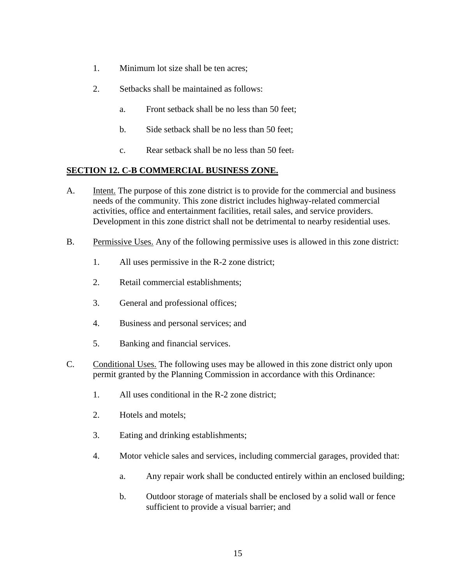- 1. Minimum lot size shall be ten acres;
- 2. Setbacks shall be maintained as follows:
	- a. Front setback shall be no less than 50 feet;
	- b. Side setback shall be no less than 50 feet;
	- c. Rear setback shall be no less than 50 feet.

## **SECTION 12. C-B COMMERCIAL BUSINESS ZONE.**

- A. Intent. The purpose of this zone district is to provide for the commercial and business needs of the community. This zone district includes highway-related commercial activities, office and entertainment facilities, retail sales, and service providers. Development in this zone district shall not be detrimental to nearby residential uses.
- B. Permissive Uses. Any of the following permissive uses is allowed in this zone district:
	- 1. All uses permissive in the R-2 zone district;
	- 2. Retail commercial establishments;
	- 3. General and professional offices;
	- 4. Business and personal services; and
	- 5. Banking and financial services.
- C. Conditional Uses. The following uses may be allowed in this zone district only upon permit granted by the Planning Commission in accordance with this Ordinance:
	- 1. All uses conditional in the R-2 zone district;
	- 2. Hotels and motels;
	- 3. Eating and drinking establishments;
	- 4. Motor vehicle sales and services, including commercial garages, provided that:
		- a. Any repair work shall be conducted entirely within an enclosed building;
		- b. Outdoor storage of materials shall be enclosed by a solid wall or fence sufficient to provide a visual barrier; and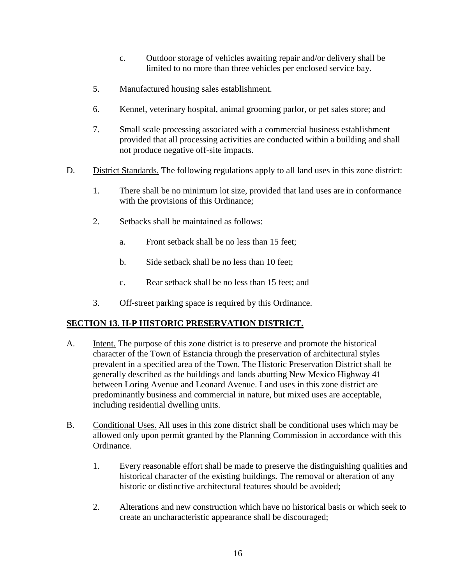- c. Outdoor storage of vehicles awaiting repair and/or delivery shall be limited to no more than three vehicles per enclosed service bay.
- 5. Manufactured housing sales establishment.
- 6. Kennel, veterinary hospital, animal grooming parlor, or pet sales store; and
- 7. Small scale processing associated with a commercial business establishment provided that all processing activities are conducted within a building and shall not produce negative off-site impacts.
- D. District Standards. The following regulations apply to all land uses in this zone district:
	- 1. There shall be no minimum lot size, provided that land uses are in conformance with the provisions of this Ordinance;
	- 2. Setbacks shall be maintained as follows:
		- a. Front setback shall be no less than 15 feet;
		- b. Side setback shall be no less than 10 feet;
		- c. Rear setback shall be no less than 15 feet; and
	- 3. Off-street parking space is required by this Ordinance.

# **SECTION 13. H-P HISTORIC PRESERVATION DISTRICT.**

- A. **Intent.** The purpose of this zone district is to preserve and promote the historical character of the Town of Estancia through the preservation of architectural styles prevalent in a specified area of the Town. The Historic Preservation District shall be generally described as the buildings and lands abutting New Mexico Highway 41 between Loring Avenue and Leonard Avenue. Land uses in this zone district are predominantly business and commercial in nature, but mixed uses are acceptable, including residential dwelling units.
- B. Conditional Uses. All uses in this zone district shall be conditional uses which may be allowed only upon permit granted by the Planning Commission in accordance with this Ordinance.
	- 1. Every reasonable effort shall be made to preserve the distinguishing qualities and historical character of the existing buildings. The removal or alteration of any historic or distinctive architectural features should be avoided;
	- 2. Alterations and new construction which have no historical basis or which seek to create an uncharacteristic appearance shall be discouraged;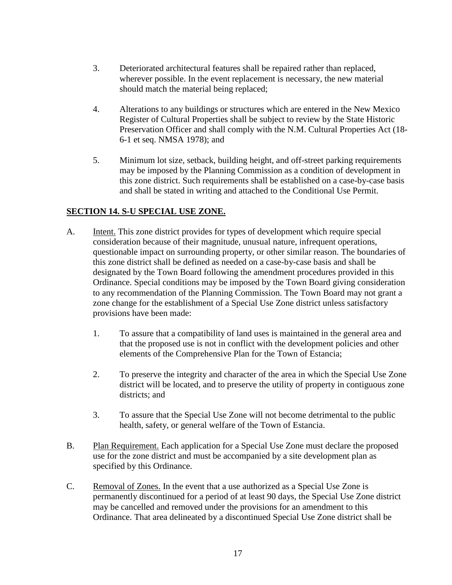- 3. Deteriorated architectural features shall be repaired rather than replaced, wherever possible. In the event replacement is necessary, the new material should match the material being replaced;
- 4. Alterations to any buildings or structures which are entered in the New Mexico Register of Cultural Properties shall be subject to review by the State Historic Preservation Officer and shall comply with the N.M. Cultural Properties Act (18- 6-1 et seq. NMSA 1978); and
- 5. Minimum lot size, setback, building height, and off-street parking requirements may be imposed by the Planning Commission as a condition of development in this zone district. Such requirements shall be established on a case-by-case basis and shall be stated in writing and attached to the Conditional Use Permit.

## **SECTION 14. S-U SPECIAL USE ZONE.**

- A. Intent. This zone district provides for types of development which require special consideration because of their magnitude, unusual nature, infrequent operations, questionable impact on surrounding property, or other similar reason. The boundaries of this zone district shall be defined as needed on a case-by-case basis and shall be designated by the Town Board following the amendment procedures provided in this Ordinance. Special conditions may be imposed by the Town Board giving consideration to any recommendation of the Planning Commission. The Town Board may not grant a zone change for the establishment of a Special Use Zone district unless satisfactory provisions have been made:
	- 1. To assure that a compatibility of land uses is maintained in the general area and that the proposed use is not in conflict with the development policies and other elements of the Comprehensive Plan for the Town of Estancia;
	- 2. To preserve the integrity and character of the area in which the Special Use Zone district will be located, and to preserve the utility of property in contiguous zone districts; and
	- 3. To assure that the Special Use Zone will not become detrimental to the public health, safety, or general welfare of the Town of Estancia.
- B. Plan Requirement. Each application for a Special Use Zone must declare the proposed use for the zone district and must be accompanied by a site development plan as specified by this Ordinance.
- C. Removal of Zones. In the event that a use authorized as a Special Use Zone is permanently discontinued for a period of at least 90 days, the Special Use Zone district may be cancelled and removed under the provisions for an amendment to this Ordinance. That area delineated by a discontinued Special Use Zone district shall be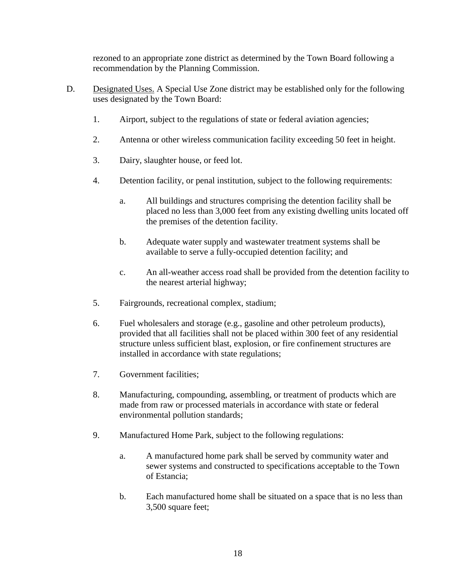rezoned to an appropriate zone district as determined by the Town Board following a recommendation by the Planning Commission.

- D. Designated Uses. A Special Use Zone district may be established only for the following uses designated by the Town Board:
	- 1. Airport, subject to the regulations of state or federal aviation agencies;
	- 2. Antenna or other wireless communication facility exceeding 50 feet in height.
	- 3. Dairy, slaughter house, or feed lot.
	- 4. Detention facility, or penal institution, subject to the following requirements:
		- a. All buildings and structures comprising the detention facility shall be placed no less than 3,000 feet from any existing dwelling units located off the premises of the detention facility.
		- b. Adequate water supply and wastewater treatment systems shall be available to serve a fully-occupied detention facility; and
		- c. An all-weather access road shall be provided from the detention facility to the nearest arterial highway;
	- 5. Fairgrounds, recreational complex, stadium;
	- 6. Fuel wholesalers and storage (e.g., gasoline and other petroleum products), provided that all facilities shall not be placed within 300 feet of any residential structure unless sufficient blast, explosion, or fire confinement structures are installed in accordance with state regulations;
	- 7. Government facilities;
	- 8. Manufacturing, compounding, assembling, or treatment of products which are made from raw or processed materials in accordance with state or federal environmental pollution standards;
	- 9. Manufactured Home Park, subject to the following regulations:
		- a. A manufactured home park shall be served by community water and sewer systems and constructed to specifications acceptable to the Town of Estancia;
		- b. Each manufactured home shall be situated on a space that is no less than 3,500 square feet;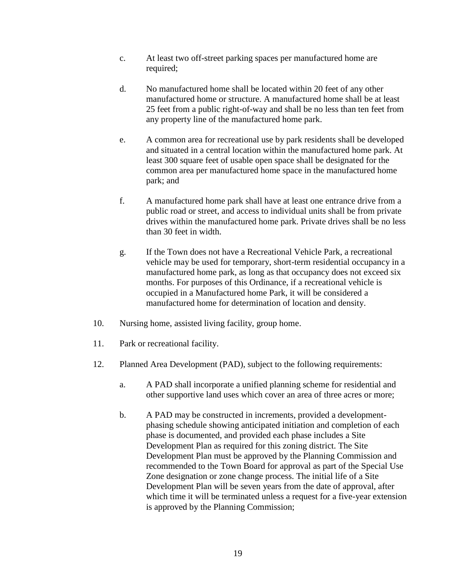- c. At least two off-street parking spaces per manufactured home are required;
- d. No manufactured home shall be located within 20 feet of any other manufactured home or structure. A manufactured home shall be at least 25 feet from a public right-of-way and shall be no less than ten feet from any property line of the manufactured home park.
- e. A common area for recreational use by park residents shall be developed and situated in a central location within the manufactured home park. At least 300 square feet of usable open space shall be designated for the common area per manufactured home space in the manufactured home park; and
- f. A manufactured home park shall have at least one entrance drive from a public road or street, and access to individual units shall be from private drives within the manufactured home park. Private drives shall be no less than 30 feet in width.
- g. If the Town does not have a Recreational Vehicle Park, a recreational vehicle may be used for temporary, short-term residential occupancy in a manufactured home park, as long as that occupancy does not exceed six months. For purposes of this Ordinance, if a recreational vehicle is occupied in a Manufactured home Park, it will be considered a manufactured home for determination of location and density.
- 10. Nursing home, assisted living facility, group home.
- 11. Park or recreational facility.
- 12. Planned Area Development (PAD), subject to the following requirements:
	- a. A PAD shall incorporate a unified planning scheme for residential and other supportive land uses which cover an area of three acres or more;
	- b. A PAD may be constructed in increments, provided a developmentphasing schedule showing anticipated initiation and completion of each phase is documented, and provided each phase includes a Site Development Plan as required for this zoning district. The Site Development Plan must be approved by the Planning Commission and recommended to the Town Board for approval as part of the Special Use Zone designation or zone change process. The initial life of a Site Development Plan will be seven years from the date of approval, after which time it will be terminated unless a request for a five-year extension is approved by the Planning Commission;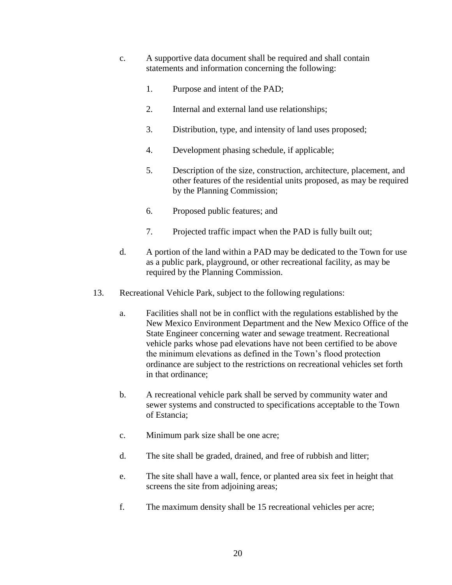- c. A supportive data document shall be required and shall contain statements and information concerning the following:
	- 1. Purpose and intent of the PAD;
	- 2. Internal and external land use relationships;
	- 3. Distribution, type, and intensity of land uses proposed;
	- 4. Development phasing schedule, if applicable;
	- 5. Description of the size, construction, architecture, placement, and other features of the residential units proposed, as may be required by the Planning Commission;
	- 6. Proposed public features; and
	- 7. Projected traffic impact when the PAD is fully built out;
- d. A portion of the land within a PAD may be dedicated to the Town for use as a public park, playground, or other recreational facility, as may be required by the Planning Commission.
- 13. Recreational Vehicle Park, subject to the following regulations:
	- a. Facilities shall not be in conflict with the regulations established by the New Mexico Environment Department and the New Mexico Office of the State Engineer concerning water and sewage treatment. Recreational vehicle parks whose pad elevations have not been certified to be above the minimum elevations as defined in the Town's flood protection ordinance are subject to the restrictions on recreational vehicles set forth in that ordinance;
	- b. A recreational vehicle park shall be served by community water and sewer systems and constructed to specifications acceptable to the Town of Estancia;
	- c. Minimum park size shall be one acre;
	- d. The site shall be graded, drained, and free of rubbish and litter;
	- e. The site shall have a wall, fence, or planted area six feet in height that screens the site from adjoining areas;
	- f. The maximum density shall be 15 recreational vehicles per acre;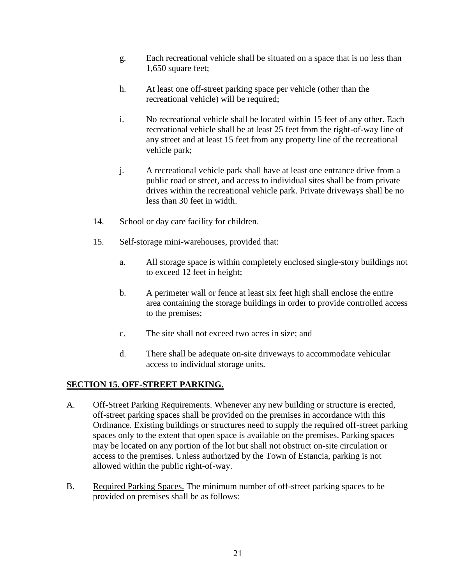- g. Each recreational vehicle shall be situated on a space that is no less than 1,650 square feet;
- h. At least one off-street parking space per vehicle (other than the recreational vehicle) will be required;
- i. No recreational vehicle shall be located within 15 feet of any other. Each recreational vehicle shall be at least 25 feet from the right-of-way line of any street and at least 15 feet from any property line of the recreational vehicle park;
- j. A recreational vehicle park shall have at least one entrance drive from a public road or street, and access to individual sites shall be from private drives within the recreational vehicle park. Private driveways shall be no less than 30 feet in width.
- 14. School or day care facility for children.
- 15. Self-storage mini-warehouses, provided that:
	- a. All storage space is within completely enclosed single-story buildings not to exceed 12 feet in height;
	- b. A perimeter wall or fence at least six feet high shall enclose the entire area containing the storage buildings in order to provide controlled access to the premises;
	- c. The site shall not exceed two acres in size; and
	- d. There shall be adequate on-site driveways to accommodate vehicular access to individual storage units.

### **SECTION 15. OFF-STREET PARKING.**

- A. Off-Street Parking Requirements. Whenever any new building or structure is erected, off-street parking spaces shall be provided on the premises in accordance with this Ordinance. Existing buildings or structures need to supply the required off-street parking spaces only to the extent that open space is available on the premises. Parking spaces may be located on any portion of the lot but shall not obstruct on-site circulation or access to the premises. Unless authorized by the Town of Estancia, parking is not allowed within the public right-of-way.
- B. Required Parking Spaces. The minimum number of off-street parking spaces to be provided on premises shall be as follows: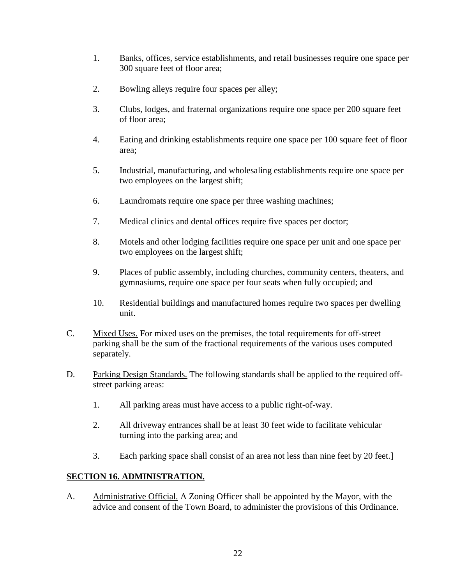- 1. Banks, offices, service establishments, and retail businesses require one space per 300 square feet of floor area;
- 2. Bowling alleys require four spaces per alley;
- 3. Clubs, lodges, and fraternal organizations require one space per 200 square feet of floor area;
- 4. Eating and drinking establishments require one space per 100 square feet of floor area;
- 5. Industrial, manufacturing, and wholesaling establishments require one space per two employees on the largest shift;
- 6. Laundromats require one space per three washing machines;
- 7. Medical clinics and dental offices require five spaces per doctor;
- 8. Motels and other lodging facilities require one space per unit and one space per two employees on the largest shift;
- 9. Places of public assembly, including churches, community centers, theaters, and gymnasiums, require one space per four seats when fully occupied; and
- 10. Residential buildings and manufactured homes require two spaces per dwelling unit.
- C. Mixed Uses. For mixed uses on the premises, the total requirements for off-street parking shall be the sum of the fractional requirements of the various uses computed separately.
- D. Parking Design Standards. The following standards shall be applied to the required offstreet parking areas:
	- 1. All parking areas must have access to a public right-of-way.
	- 2. All driveway entrances shall be at least 30 feet wide to facilitate vehicular turning into the parking area; and
	- 3. Each parking space shall consist of an area not less than nine feet by 20 feet.]

# **SECTION 16. ADMINISTRATION.**

A. Administrative Official. A Zoning Officer shall be appointed by the Mayor, with the advice and consent of the Town Board, to administer the provisions of this Ordinance.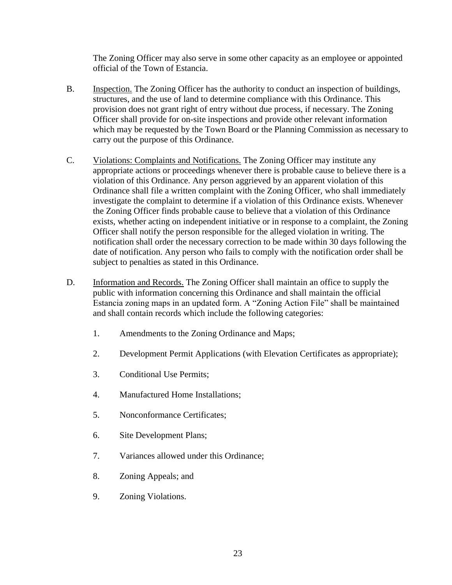The Zoning Officer may also serve in some other capacity as an employee or appointed official of the Town of Estancia.

- B. Inspection. The Zoning Officer has the authority to conduct an inspection of buildings, structures, and the use of land to determine compliance with this Ordinance. This provision does not grant right of entry without due process, if necessary. The Zoning Officer shall provide for on-site inspections and provide other relevant information which may be requested by the Town Board or the Planning Commission as necessary to carry out the purpose of this Ordinance.
- C. Violations: Complaints and Notifications. The Zoning Officer may institute any appropriate actions or proceedings whenever there is probable cause to believe there is a violation of this Ordinance. Any person aggrieved by an apparent violation of this Ordinance shall file a written complaint with the Zoning Officer, who shall immediately investigate the complaint to determine if a violation of this Ordinance exists. Whenever the Zoning Officer finds probable cause to believe that a violation of this Ordinance exists, whether acting on independent initiative or in response to a complaint, the Zoning Officer shall notify the person responsible for the alleged violation in writing. The notification shall order the necessary correction to be made within 30 days following the date of notification. Any person who fails to comply with the notification order shall be subject to penalties as stated in this Ordinance.
- D. Information and Records. The Zoning Officer shall maintain an office to supply the public with information concerning this Ordinance and shall maintain the official Estancia zoning maps in an updated form. A "Zoning Action File" shall be maintained and shall contain records which include the following categories:
	- 1. Amendments to the Zoning Ordinance and Maps;
	- 2. Development Permit Applications (with Elevation Certificates as appropriate);
	- 3. Conditional Use Permits;
	- 4. Manufactured Home Installations;
	- 5. Nonconformance Certificates;
	- 6. Site Development Plans;
	- 7. Variances allowed under this Ordinance;
	- 8. Zoning Appeals; and
	- 9. Zoning Violations.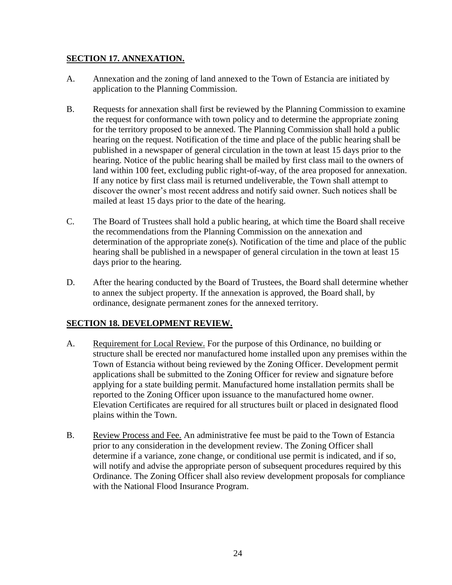### **SECTION 17. ANNEXATION.**

- A. Annexation and the zoning of land annexed to the Town of Estancia are initiated by application to the Planning Commission.
- B. Requests for annexation shall first be reviewed by the Planning Commission to examine the request for conformance with town policy and to determine the appropriate zoning for the territory proposed to be annexed. The Planning Commission shall hold a public hearing on the request. Notification of the time and place of the public hearing shall be published in a newspaper of general circulation in the town at least 15 days prior to the hearing. Notice of the public hearing shall be mailed by first class mail to the owners of land within 100 feet, excluding public right-of-way, of the area proposed for annexation. If any notice by first class mail is returned undeliverable, the Town shall attempt to discover the owner's most recent address and notify said owner. Such notices shall be mailed at least 15 days prior to the date of the hearing.
- C. The Board of Trustees shall hold a public hearing, at which time the Board shall receive the recommendations from the Planning Commission on the annexation and determination of the appropriate zone(s). Notification of the time and place of the public hearing shall be published in a newspaper of general circulation in the town at least 15 days prior to the hearing.
- D. After the hearing conducted by the Board of Trustees, the Board shall determine whether to annex the subject property. If the annexation is approved, the Board shall, by ordinance, designate permanent zones for the annexed territory.

# **SECTION 18. DEVELOPMENT REVIEW.**

- A. Requirement for Local Review. For the purpose of this Ordinance, no building or structure shall be erected nor manufactured home installed upon any premises within the Town of Estancia without being reviewed by the Zoning Officer. Development permit applications shall be submitted to the Zoning Officer for review and signature before applying for a state building permit. Manufactured home installation permits shall be reported to the Zoning Officer upon issuance to the manufactured home owner. Elevation Certificates are required for all structures built or placed in designated flood plains within the Town.
- B. Review Process and Fee. An administrative fee must be paid to the Town of Estancia prior to any consideration in the development review. The Zoning Officer shall determine if a variance, zone change, or conditional use permit is indicated, and if so, will notify and advise the appropriate person of subsequent procedures required by this Ordinance. The Zoning Officer shall also review development proposals for compliance with the National Flood Insurance Program.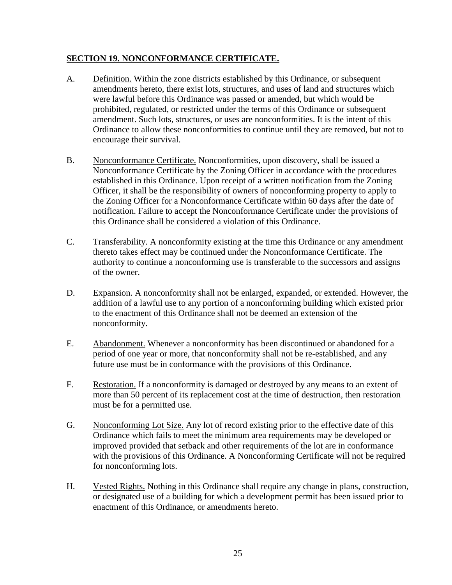### **SECTION 19. NONCONFORMANCE CERTIFICATE.**

- A. Definition. Within the zone districts established by this Ordinance, or subsequent amendments hereto, there exist lots, structures, and uses of land and structures which were lawful before this Ordinance was passed or amended, but which would be prohibited, regulated, or restricted under the terms of this Ordinance or subsequent amendment. Such lots, structures, or uses are nonconformities. It is the intent of this Ordinance to allow these nonconformities to continue until they are removed, but not to encourage their survival.
- B. Nonconformance Certificate. Nonconformities, upon discovery, shall be issued a Nonconformance Certificate by the Zoning Officer in accordance with the procedures established in this Ordinance. Upon receipt of a written notification from the Zoning Officer, it shall be the responsibility of owners of nonconforming property to apply to the Zoning Officer for a Nonconformance Certificate within 60 days after the date of notification. Failure to accept the Nonconformance Certificate under the provisions of this Ordinance shall be considered a violation of this Ordinance.
- C. Transferability. A nonconformity existing at the time this Ordinance or any amendment thereto takes effect may be continued under the Nonconformance Certificate. The authority to continue a nonconforming use is transferable to the successors and assigns of the owner.
- D. Expansion. A nonconformity shall not be enlarged, expanded, or extended. However, the addition of a lawful use to any portion of a nonconforming building which existed prior to the enactment of this Ordinance shall not be deemed an extension of the nonconformity.
- E. Abandonment. Whenever a nonconformity has been discontinued or abandoned for a period of one year or more, that nonconformity shall not be re-established, and any future use must be in conformance with the provisions of this Ordinance.
- F. Restoration. If a nonconformity is damaged or destroyed by any means to an extent of more than 50 percent of its replacement cost at the time of destruction, then restoration must be for a permitted use.
- G. Nonconforming Lot Size. Any lot of record existing prior to the effective date of this Ordinance which fails to meet the minimum area requirements may be developed or improved provided that setback and other requirements of the lot are in conformance with the provisions of this Ordinance. A Nonconforming Certificate will not be required for nonconforming lots.
- H. Vested Rights. Nothing in this Ordinance shall require any change in plans, construction, or designated use of a building for which a development permit has been issued prior to enactment of this Ordinance, or amendments hereto.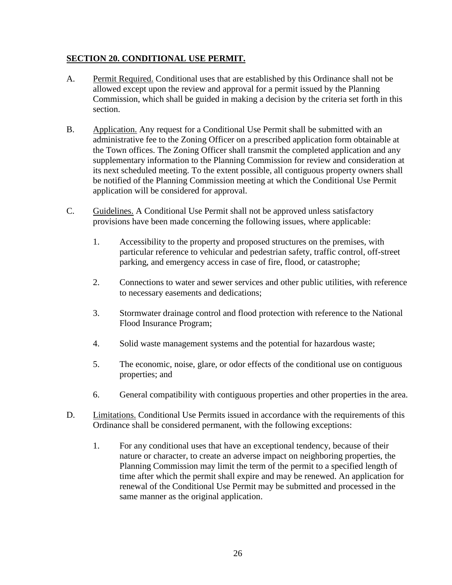### **SECTION 20. CONDITIONAL USE PERMIT.**

- A. Permit Required. Conditional uses that are established by this Ordinance shall not be allowed except upon the review and approval for a permit issued by the Planning Commission, which shall be guided in making a decision by the criteria set forth in this section.
- B. Application. Any request for a Conditional Use Permit shall be submitted with an administrative fee to the Zoning Officer on a prescribed application form obtainable at the Town offices. The Zoning Officer shall transmit the completed application and any supplementary information to the Planning Commission for review and consideration at its next scheduled meeting. To the extent possible, all contiguous property owners shall be notified of the Planning Commission meeting at which the Conditional Use Permit application will be considered for approval.
- C. Guidelines. A Conditional Use Permit shall not be approved unless satisfactory provisions have been made concerning the following issues, where applicable:
	- 1. Accessibility to the property and proposed structures on the premises, with particular reference to vehicular and pedestrian safety, traffic control, off-street parking, and emergency access in case of fire, flood, or catastrophe;
	- 2. Connections to water and sewer services and other public utilities, with reference to necessary easements and dedications;
	- 3. Stormwater drainage control and flood protection with reference to the National Flood Insurance Program;
	- 4. Solid waste management systems and the potential for hazardous waste;
	- 5. The economic, noise, glare, or odor effects of the conditional use on contiguous properties; and
	- 6. General compatibility with contiguous properties and other properties in the area.
- D. Limitations. Conditional Use Permits issued in accordance with the requirements of this Ordinance shall be considered permanent, with the following exceptions:
	- 1. For any conditional uses that have an exceptional tendency, because of their nature or character, to create an adverse impact on neighboring properties, the Planning Commission may limit the term of the permit to a specified length of time after which the permit shall expire and may be renewed. An application for renewal of the Conditional Use Permit may be submitted and processed in the same manner as the original application.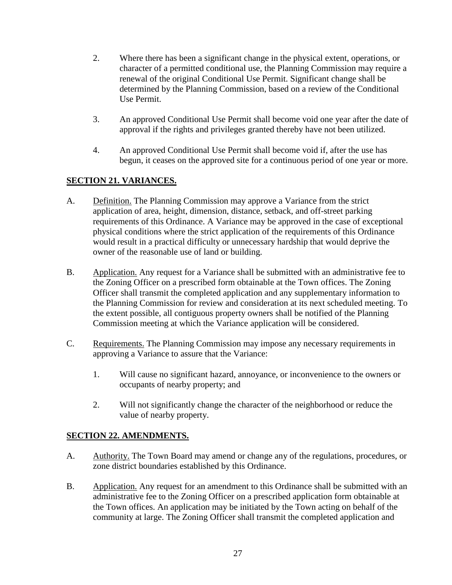- 2. Where there has been a significant change in the physical extent, operations, or character of a permitted conditional use, the Planning Commission may require a renewal of the original Conditional Use Permit. Significant change shall be determined by the Planning Commission, based on a review of the Conditional Use Permit.
- 3. An approved Conditional Use Permit shall become void one year after the date of approval if the rights and privileges granted thereby have not been utilized.
- 4. An approved Conditional Use Permit shall become void if, after the use has begun, it ceases on the approved site for a continuous period of one year or more.

# **SECTION 21. VARIANCES.**

- A. Definition. The Planning Commission may approve a Variance from the strict application of area, height, dimension, distance, setback, and off-street parking requirements of this Ordinance. A Variance may be approved in the case of exceptional physical conditions where the strict application of the requirements of this Ordinance would result in a practical difficulty or unnecessary hardship that would deprive the owner of the reasonable use of land or building.
- B. Application. Any request for a Variance shall be submitted with an administrative fee to the Zoning Officer on a prescribed form obtainable at the Town offices. The Zoning Officer shall transmit the completed application and any supplementary information to the Planning Commission for review and consideration at its next scheduled meeting. To the extent possible, all contiguous property owners shall be notified of the Planning Commission meeting at which the Variance application will be considered.
- C. Requirements. The Planning Commission may impose any necessary requirements in approving a Variance to assure that the Variance:
	- 1. Will cause no significant hazard, annoyance, or inconvenience to the owners or occupants of nearby property; and
	- 2. Will not significantly change the character of the neighborhood or reduce the value of nearby property.

### **SECTION 22. AMENDMENTS.**

- A. Authority. The Town Board may amend or change any of the regulations, procedures, or zone district boundaries established by this Ordinance.
- B. Application. Any request for an amendment to this Ordinance shall be submitted with an administrative fee to the Zoning Officer on a prescribed application form obtainable at the Town offices. An application may be initiated by the Town acting on behalf of the community at large. The Zoning Officer shall transmit the completed application and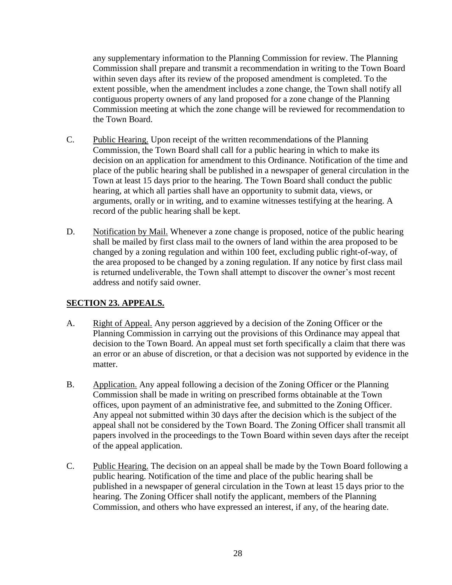any supplementary information to the Planning Commission for review. The Planning Commission shall prepare and transmit a recommendation in writing to the Town Board within seven days after its review of the proposed amendment is completed. To the extent possible, when the amendment includes a zone change, the Town shall notify all contiguous property owners of any land proposed for a zone change of the Planning Commission meeting at which the zone change will be reviewed for recommendation to the Town Board.

- C. Public Hearing. Upon receipt of the written recommendations of the Planning Commission, the Town Board shall call for a public hearing in which to make its decision on an application for amendment to this Ordinance. Notification of the time and place of the public hearing shall be published in a newspaper of general circulation in the Town at least 15 days prior to the hearing. The Town Board shall conduct the public hearing, at which all parties shall have an opportunity to submit data, views, or arguments, orally or in writing, and to examine witnesses testifying at the hearing. A record of the public hearing shall be kept.
- D. Notification by Mail. Whenever a zone change is proposed, notice of the public hearing shall be mailed by first class mail to the owners of land within the area proposed to be changed by a zoning regulation and within 100 feet, excluding public right-of-way, of the area proposed to be changed by a zoning regulation. If any notice by first class mail is returned undeliverable, the Town shall attempt to discover the owner's most recent address and notify said owner.

# **SECTION 23. APPEALS.**

- A. Right of Appeal. Any person aggrieved by a decision of the Zoning Officer or the Planning Commission in carrying out the provisions of this Ordinance may appeal that decision to the Town Board. An appeal must set forth specifically a claim that there was an error or an abuse of discretion, or that a decision was not supported by evidence in the matter.
- B. Application. Any appeal following a decision of the Zoning Officer or the Planning Commission shall be made in writing on prescribed forms obtainable at the Town offices, upon payment of an administrative fee, and submitted to the Zoning Officer. Any appeal not submitted within 30 days after the decision which is the subject of the appeal shall not be considered by the Town Board. The Zoning Officer shall transmit all papers involved in the proceedings to the Town Board within seven days after the receipt of the appeal application.
- C. Public Hearing. The decision on an appeal shall be made by the Town Board following a public hearing. Notification of the time and place of the public hearing shall be published in a newspaper of general circulation in the Town at least 15 days prior to the hearing. The Zoning Officer shall notify the applicant, members of the Planning Commission, and others who have expressed an interest, if any, of the hearing date.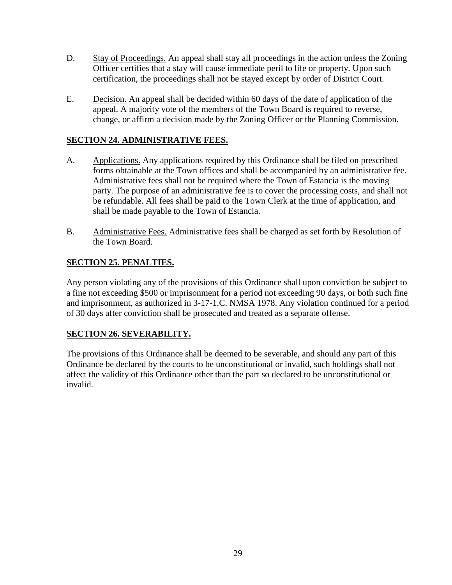- D. Stay of Proceedings. An appeal shall stay all proceedings in the action unless the Zoning Officer certifies that a stay will cause immediate peril to life or property. Upon such certification, the proceedings shall not be stayed except by order of District Court.
- E. Decision. An appeal shall be decided within 60 days of the date of application of the appeal. A majority vote of the members of the Town Board is required to reverse, change, or affirm a decision made by the Zoning Officer or the Planning Commission.

# **SECTION 24. ADMINISTRATIVE FEES.**

- A. Applications. Any applications required by this Ordinance shall be filed on prescribed forms obtainable at the Town offices and shall be accompanied by an administrative fee. Administrative fees shall not be required where the Town of Estancia is the moving party. The purpose of an administrative fee is to cover the processing costs, and shall not be refundable. All fees shall be paid to the Town Clerk at the time of application, and shall be made payable to the Town of Estancia.
- B. Administrative Fees. Administrative fees shall be charged as set forth by Resolution of the Town Board.

## **SECTION 25. PENALTIES.**

Any person violating any of the provisions of this Ordinance shall upon conviction be subject to a fine not exceeding \$500 or imprisonment for a period not exceeding 90 days, or both such fine and imprisonment, as authorized in 3-17-1.C. NMSA 1978. Any violation continued for a period of 30 days after conviction shall be prosecuted and treated as a separate offense.

### **SECTION 26. SEVERABILITY.**

The provisions of this Ordinance shall be deemed to be severable, and should any part of this Ordinance be declared by the courts to be unconstitutional or invalid, such holdings shall not affect the validity of this Ordinance other than the part so declared to be unconstitutional or invalid.